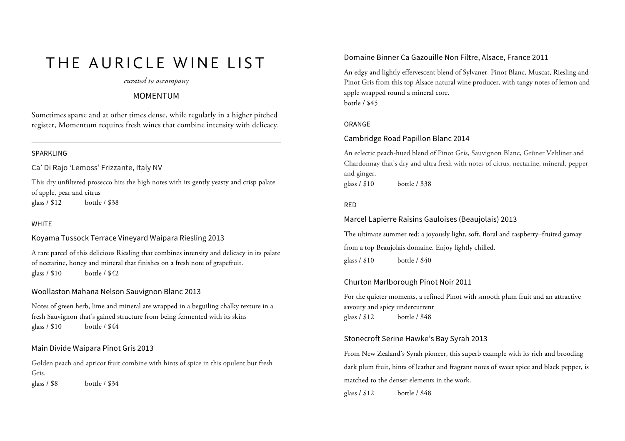# THE AURICLE WINE LIST

#### *curated to accompany*

## MOMENTUM

Sometimes sparse and at other times dense, while regularly in a higher pitched register, Momentum requires fresh wines that combine intensity with delicacy.

#### SPARKLING

Ca' Di Rajo 'Lemoss' Frizzante, Italy NV

This dry unfiltered prosecco hits the high notes with its gently yeasty and crisp palate of apple, pear and citrus glass / \$12 bottle / \$38

### WHITE

Koyama Tussock Terrace Vineyard Waipara Riesling 2013

A rare parcel of this delicious Riesling that combines intensity and delicacy in its palate of nectarine, honey and mineral that finishes on a fresh note of grapefruit. glass / \$10 bottle / \$42

## Woollaston Mahana Nelson Sauvignon Blanc 2013

Notes of green herb, lime and mineral are wrapped in a beguiling chalky texture in a fresh Sauvignon that's gained structure from being fermented with its skins glass / \$10 bottle / \$44

### Main Divide Waipara Pinot Gris 2013

Golden peach and apricot fruit combine with hints of spice in this opulent but fresh Gris. glass / \$8 bottle / \$34

## Domaine Binner Ca Gazouille Non Filtre, Alsace, France 2011

An edgy and lightly effervescent blend of Sylvaner, Pinot Blanc, Muscat, Riesling and Pinot Gris from this top Alsace natural wine producer, with tangy notes of lemon and apple wrapped round a mineral core. bottle / \$45

#### ORANGE

#### Cambridge Road Papillon Blanc 2014

An eclectic peach-hued blend of Pinot Gris, Sauvignon Blanc, Grüner Veltliner and Chardonnay that's dry and ultra fresh with notes of citrus, nectarine, mineral, pepper and ginger. glass / \$10 bottle / \$38

#### RED

#### Marcel Lapierre Raisins Gauloises (Beaujolais) 2013

The ultimate summer red: a joyously light, soft, floral and raspberry–fruited gamay from a top Beaujolais domaine. Enjoy lightly chilled. glass / \$10 bottle / \$40

## Churton Marlborough Pinot Noir 2011

For the quieter moments, a refined Pinot with smooth plum fruit and an attractive savoury and spicy undercurrent glass / \$12 bottle / \$48

#### Stonecroft Serine Hawke's Bay Syrah 2013

From New Zealand's Syrah pioneer, this superb example with its rich and brooding dark plum fruit, hints of leather and fragrant notes of sweet spice and black pepper, is matched to the denser elements in the work. glass / \$12 bottle / \$48